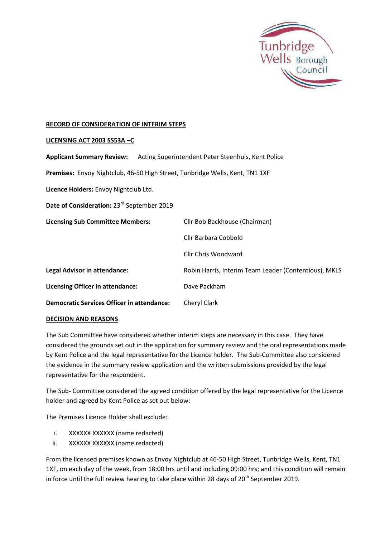

## **RECORD OF CONSIDERATION OF INTERIM STEPS**

## **LICENSING ACT 2003 SS53A –C**

| <b>Applicant Summary Review:</b>                                             | Acting Superintendent Peter Steenhuis, Kent Police    |
|------------------------------------------------------------------------------|-------------------------------------------------------|
| Premises: Envoy Nightclub, 46-50 High Street, Tunbridge Wells, Kent, TN1 1XF |                                                       |
| Licence Holders: Envoy Nightclub Ltd.                                        |                                                       |
| Date of Consideration: 23 <sup>rd</sup> September 2019                       |                                                       |
| <b>Licensing Sub Committee Members:</b>                                      | Cllr Bob Backhouse (Chairman)                         |
|                                                                              | Cllr Barbara Cobbold                                  |
|                                                                              | Cllr Chris Woodward                                   |
| <b>Legal Advisor in attendance:</b>                                          | Robin Harris, Interim Team Leader (Contentious), MKLS |
| <b>Licensing Officer in attendance:</b>                                      | Dave Packham                                          |
| <b>Democratic Services Officer in attendance:</b>                            | Cheryl Clark                                          |
|                                                                              |                                                       |

## **DECISION AND REASONS**

The Sub Committee have considered whether interim steps are necessary in this case. They have considered the grounds set out in the application for summary review and the oral representations made by Kent Police and the legal representative for the Licence holder. The Sub-Committee also considered the evidence in the summary review application and the written submissions provided by the legal representative for the respondent.

The Sub- Committee considered the agreed condition offered by the legal representative for the Licence holder and agreed by Kent Police as set out below:

The Premises Licence Holder shall exclude:

- i. XXXXXX XXXXXX (name redacted)
- ii. XXXXXX XXXXXX (name redacted)

From the licensed premises known as Envoy Nightclub at 46-50 High Street, Tunbridge Wells, Kent, TN1 1XF, on each day of the week, from 18:00 hrs until and including 09:00 hrs; and this condition will remain in force until the full review hearing to take place within 28 days of  $20^{th}$  September 2019.